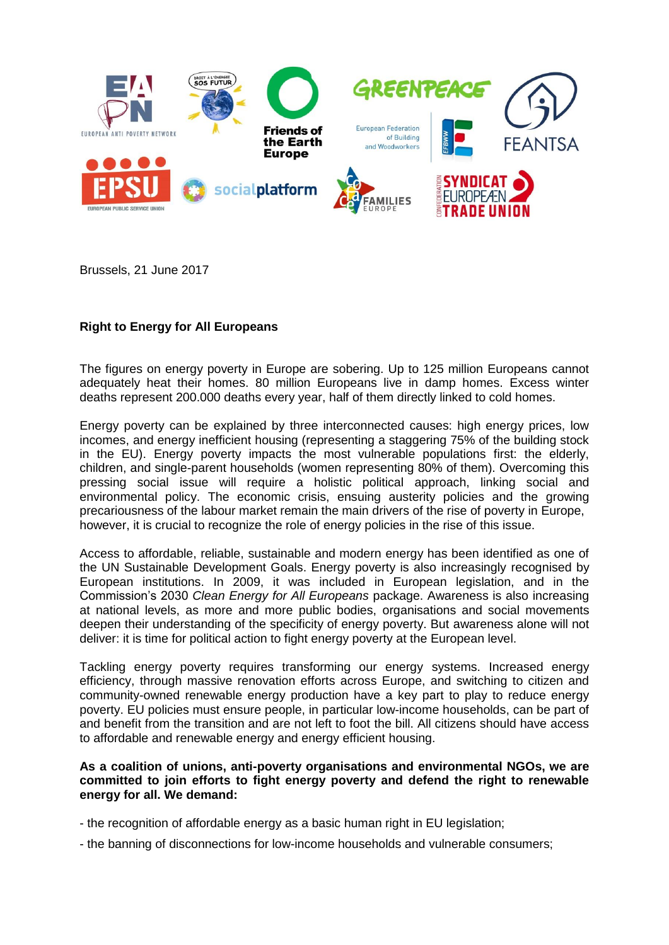

Brussels, 21 June 2017

## **Right to Energy for All Europeans**

The figures on energy poverty in Europe are sobering. Up to 125 million Europeans cannot adequately heat their homes. 80 million Europeans live in damp homes. Excess winter deaths represent 200.000 deaths every year, half of them directly linked to cold homes.

Energy poverty can be explained by three interconnected causes: high energy prices, low incomes, and energy inefficient housing (representing a staggering 75% of the building stock in the EU). Energy poverty impacts the most vulnerable populations first: the elderly, children, and single-parent households (women representing 80% of them). Overcoming this pressing social issue will require a holistic political approach, linking social and environmental policy. The economic crisis, ensuing austerity policies and the growing precariousness of the labour market remain the main drivers of the rise of poverty in Europe, however, it is crucial to recognize the role of energy policies in the rise of this issue.

Access to affordable, reliable, sustainable and modern energy has been identified as one of the UN Sustainable Development Goals. Energy poverty is also increasingly recognised by European institutions. In 2009, it was included in European legislation, and in the Commission's 2030 *Clean Energy for All Europeans* package. Awareness is also increasing at national levels, as more and more public bodies, organisations and social movements deepen their understanding of the specificity of energy poverty. But awareness alone will not deliver: it is time for political action to fight energy poverty at the European level.

Tackling energy poverty requires transforming our energy systems. Increased energy efficiency, through massive renovation efforts across Europe, and switching to citizen and community-owned renewable energy production have a key part to play to reduce energy poverty. EU policies must ensure people, in particular low-income households, can be part of and benefit from the transition and are not left to foot the bill. All citizens should have access to affordable and renewable energy and energy efficient housing.

## **As a coalition of unions, anti-poverty organisations and environmental NGOs, we are committed to join efforts to fight energy poverty and defend the right to renewable energy for all. We demand:**

- the recognition of affordable energy as a basic human right in EU legislation;
- the banning of disconnections for low-income households and vulnerable consumers;